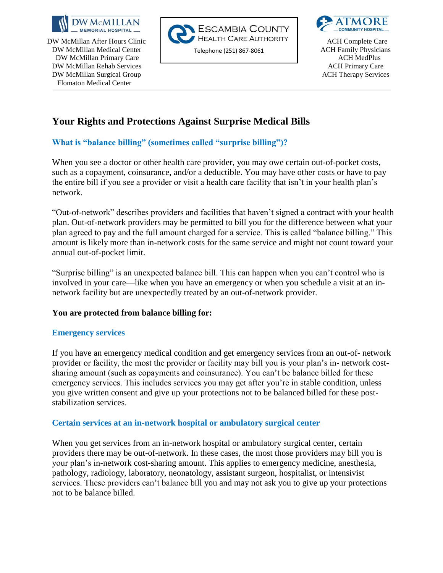

DW McMillan Primary Care and the contract of the contract of the contract of the contract of the contract of the contract of the contract of the contract of the contract of the contract of the contract of the contract of t DW McMillan Rehab Services **ACH Primary Care** ACH Primary Care DW McMillan Surgical Group and the state of the state of the state of the Services and ACH Therapy Services Flomaton Medical Center





# **Your Rights and Protections Against Surprise Medical Bills**

# **What is "balance billing" (sometimes called "surprise billing")?**

When you see a doctor or other health care provider, you may owe certain out-of-pocket costs, such as a copayment, coinsurance, and/or a deductible. You may have other costs or have to pay the entire bill if you see a provider or visit a health care facility that isn't in your health plan's network.

"Out-of-network" describes providers and facilities that haven't signed a contract with your health plan. Out-of-network providers may be permitted to bill you for the difference between what your plan agreed to pay and the full amount charged for a service. This is called "balance billing." This amount is likely more than in-network costs for the same service and might not count toward your annual out-of-pocket limit.

"Surprise billing" is an unexpected balance bill. This can happen when you can't control who is involved in your care—like when you have an emergency or when you schedule a visit at an innetwork facility but are unexpectedly treated by an out-of-network provider.

#### **You are protected from balance billing for:**

#### **Emergency services**

If you have an emergency medical condition and get emergency services from an out-of- network provider or facility, the most the provider or facility may bill you is your plan's in- network costsharing amount (such as copayments and coinsurance). You can't be balance billed for these emergency services. This includes services you may get after you're in stable condition, unless you give written consent and give up your protections not to be balanced billed for these poststabilization services.

## **Certain services at an in-network hospital or ambulatory surgical center**

When you get services from an in-network hospital or ambulatory surgical center, certain providers there may be out-of-network. In these cases, the most those providers may bill you is your plan's in-network cost-sharing amount. This applies to emergency medicine, anesthesia, pathology, radiology, laboratory, neonatology, assistant surgeon, hospitalist, or intensivist services. These providers can't balance bill you and may not ask you to give up your protections not to be balance billed.